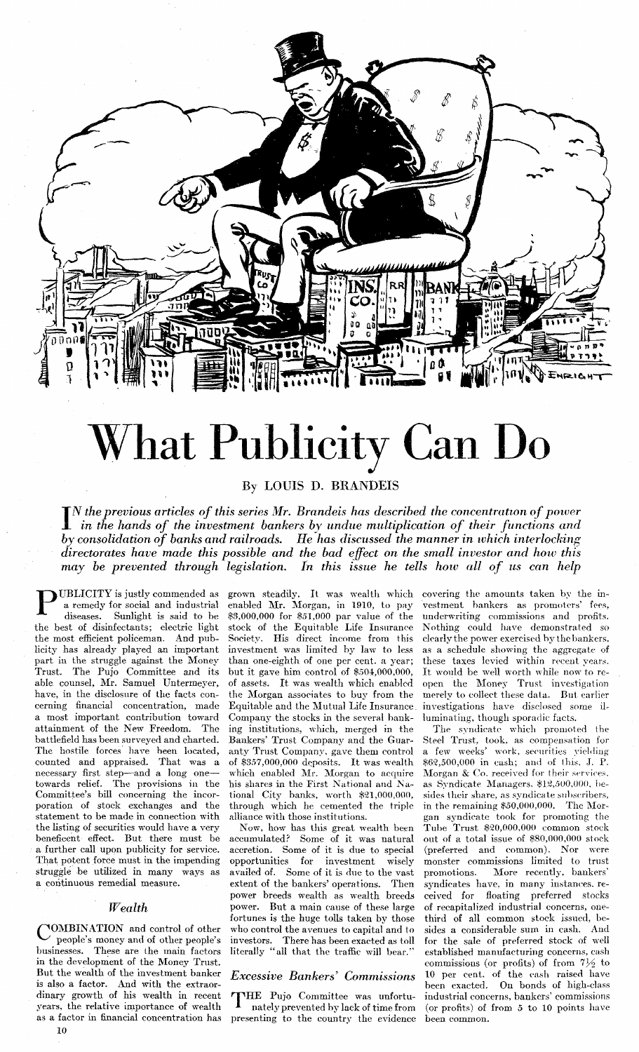

# What Publicity Can Do

By LOUIS D. BRANDEIS

 $\prod_{i}^{n}$  IN the previous articles of this series Mr. Brandeis has described the concentration of power<br>in the hands of the investment bankers by undue multiplication of their functions and<br>by consolidation of banks and directorates have made this possible and the bad effect on the small investor and how this may be prevented through legislation. In this issue he tells how all of us can help

**UBLICITY** is justly commended as a remedy for social and industrial diseases. Sunlight is said to be the best of disinfectants; electric light the most efficient policeman. And publicity has already played an important part in the struggle against the Money Trust. The Pujo Committee and its able counsel, Mr. Samuel Untermeyer, have, in the disclosure of the facts concerning financial concentration, made a most important contribution toward attainment of the New Freedom. The battlefield has been surveyed and charted. The hostile forces have been located, counted and appraised. That was a necessary first step—and a long one—<br>towards relief. The provisions in the Committee's bill concerning the incorporation of stock exchanges and the statement to be made in connection with the listing of securities would have a very beneficent effect. But there must be a further call upon publicity for service. That potent force must in the impending struggle be utilized in many ways as a continuous remedial measure.

## $Wealth$

YOMBINATION and control of other people's money and of other people's businesses. These are the main factors in the development of the Money Trust. But the wealth of the investment banker is also a factor. And with the extraordinary growth of his wealth in recent years, the relative importance of wealth as a factor in financial concentration has

grown steadily. It was wealth which covering the amounts taken by the inenabled Mr. Morgan, in 1910, to pay \$3,000,000 for \$51,000 par value of the stock of the Equitable Life Insurance Society. His direct income from this investment was limited by law to less than one-eighth of one per cent. a year;<br>but it gave him control of \$504,000,000, of assets. It was wealth which enabled the Morgan associates to buy from the Equitable and the Mutual Life Insurance Company the stocks in the several banking institutions, which, merged in the Bankers' Trust Company and the Guaranty Trust Company, gave them control of \$357,000,000 deposits. It was wealth which enabled Mr. Morgan to acquire his shares in the First National and National City banks, worth \$21,000,000, through which he cemented the triple alliance with those institutions.

Now, how has this great wealth been accumulated? Some of it was natural accretion. Some of it is due to special opportunities for investment wiselv availed of. Some of it is due to the vast extent of the bankers' operations. Then power breeds wealth as wealth breeds power. But a main cause of these large fortunes is the huge tolls taken by those who control the avenues to capital and to investors. There has been exacted as toll<br>literally "all that the traffic will bear."

# **Excessive Bankers' Commissions**

THE Pujo Committee was unfortunately prevented by lack of time from presenting to the country the evidence

vestment bankers as promoters' fees, underwriting commissions and profits. Nothing could have demonstrated so clearly the power exercised by the bankers, as a schedule showing the aggregate of these taxes levied within recent years. It would be well worth while now to reopen the Money Trust investigation merely to collect these data. But earlier investigations have disclosed some illuminating, though sporadic facts.

The syndicate which promoted the Steel Trust, took, as compensation for a few weeks' work, securities vielding \$62,500,000 in eash; and of this, J. P. Morgan & Co. received for their services, as Syndicate Managers, \$12,500,000, besides their share, as syndicate subscribers, in the remaining \$50,000,000. The Morgan syndicate took for promoting the Tube Trust \$20,000,000 common stock out of a total issue of \$80,000,000 stock (preferred and common). Nor were monster commissions limited to trust promotions. More recently, bankers' syndicates have, in many instances. received for floating preferred stocks of recapitalized industrial concerns, onethird of all common stock issued, besides a considerable sum in cash. And for the sale of preferred stock of well established manufacturing concerns, cash commissions (or profits) of from  $7\frac{1}{2}$  to 10 per cent. of the cash raised have been exacted. On bonds of high-class industrial concerns, bankers' commissions (or profits) of from 5 to 10 points have been common.

10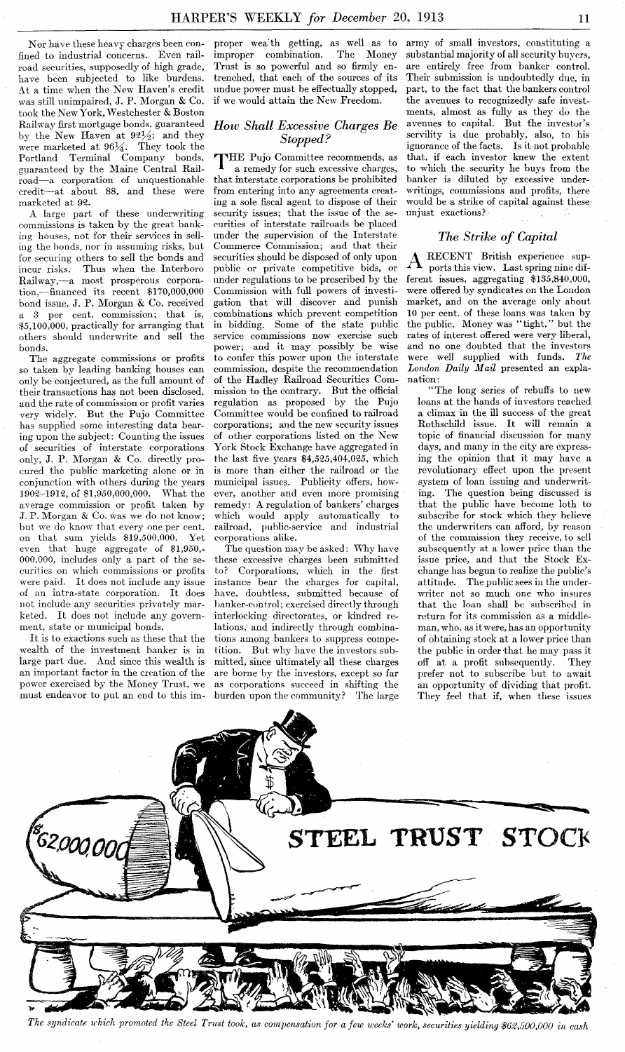Nor have these heavy charges been confined to industrial concerns. Even railroad securities, supposedly of high grade, have been subjected to like burdens. At a time when the New Haven's credit was still unimpaired, J. P. Morgan & Co. took the New York, Westchester & Boston Railway first mortgage bonds, guaranteed by the New Haven at  $92\frac{1}{2}$ ; and they were marketed at  $96\frac{1}{4}$ . They took the Portland Terminal Company bonds, guaranteed by the Xaine Central Railroad-a corporation of unquestionable credit-at about 88, and these were marketed at 92.

**A** large part of these underwriting commissions is taken by the great banking houses, not for their services in selling the bonds, nor in assuming risks, but for securing others to sell the bonds and incur risks. Thus when the Interboro Railway,-a most prosperous corporation,-financed its recent \$170,000,000 bond issue, J. P. Morgan **ik** Co. received a **3** per cent. commission; that is, \$5,100,000, practically for arranging that others should underwrite and sell the bonds.

The aggregate commissions or profits so taken by leading banking houses can only be conjectured, as the full amount of their transactions has not been disclosed, and the rate of commission or profit varies very widely. But the Pujo Committee has supplied some interesting data bearing upon the subject: Counting the issues of securities of interstate corporations only, J. P. Morgan & Co. directly procured the public marketing alone or in conjunction with others during the years<br>1902–1912 of \$1,950,000,000. What the 1902-1912, of \$1.950,000,000. What the average commission or profit taken by J. P. Morgan & Co. was we do not know; but we do know that every one per cent.<br>on that sum vields \$19.500.000. Yet on that sum yields  $$19,500,000$ . even that huge aggregate of \$1,950,- 000,000, includes only a part of the securities on which commissions or profits were paid. It does not include any issue of an intra-state corporation. It does not include any securities privately marketed. It does not include any government, state or municipal bonds.

It is to exactions such as these that the wealth of the investment banker is in large part due. And since this wealth is an important factor in the creation of the power exercised by the Money Trust, we must endeavor to put an end to this improper wea'th getting, as well as to<br>improper combination. The Money improper combination. Trust is so powerful and so firmly entrenched, that each of the sources of its undue power must be effectually stopped, if we would attain the New Freedom.

# *How Shall Excessive Charges Be Stopped* ?

THE Pujo Committee recommends, as<br>a remedy for such excessive charges, a remedy for such excessive charges, that interstate corporations be prohibited from entering into any agreements creating a sole fiscal agent to dispose of their security issues; that the issue of the securities of interstate railroads be placed under the supervision of the Interstate Commerce Commission; **and** that their securities should be disposed of only upon public or private competitive bids, or under regulations to be prescribed by the Commission with full powers of investigation that will discover and punish combinations which prevent competition in bidding. Some of the state public service commissions now exercise such power; and it may possibly be wise to confer this power upon the interstate commission, despite the recommendation of the Hadley Railroad Securities Commission to the contrary. But the official regulation as proposed by the Pujo Committee would be confined to railroad corporations; and the new security issues of other corporations listed on the New York Stock Exchange have aggregated in the last five years \$4,525,404,025, which is more than either the railroad or the municipal issues. Publicity offers, however, another and even more promising remedy: A regulation of bankers' charges which would apply automatically to railroad, public-service and industrial corporations alike.

The question may be asked: Why have these excessive charges been submitted<br>to? Corporations, which in the first Corporations, which in the first instance bear the chargcs for capital, have. douhtless, submitted because of banker-control; exercised directly through interlocking directorates, or kindred relations, and indirectly through combinations among bankers to suppress competition. But why have the investors submitted, since ultimately all these charges are borne by the investors, except so far as corporations succeed in shifting the burden upon the community? The large

army of small investors, constituting a substantial majority of all sccurity buyers, are entirely free from banker control. Their submission is undoubtedly due, in part, to the fact that the bankers control the avenues to recognizedly safe investments, almost as fully as they do the avenues to capital. But the investor's servility is due probably, also, to his ignorance of the facts. Is it not probahle that, if each investor knew the extent to which the security he buys from the banker is diluted by excessive underwritings, commissions and profits, there would be a strike of capital against these unjust exactions?

# *The Strike of Capital*

 $\rm A$  RECENT British experience sup-<br>ports this view. Last spring nine different issues, aggregating \$135,840.000, were offered by syndicates on the London market, and on the average only about 10 per cent. of these loans was taken by<br>the public. Money was "tight." but the the public. Money was "tight," rates of interest offered were very liberal, and no one doubted that the investors were well supplied with funds. *The London Daily Mail* presented an explanation:

"The long series of rebuffs to new loans at the hands of investors reached a climax in the ill success of the great Rothschild issue. It will remain a topic of financial discussion for many days, and many in the city are expressing the opinion that it may havc a revolutionary effect upon the present system of loan issuing and underwriting. The question being discussed is that the public have become loth to subscribe for stock which they believe the underwriters can afford, by reason of the commission they receive, to sell subsequently at a lower price than the issue price, and that the Stock Exchange has begun to realize the public's attitude. The public sees in the underwriter not so much one who insures that the loan shall be subscribed in return for its commission as a middleman, who, as it were, has an opportunity of obtaining stock at a lower price than the public in order that he may pass it off at a profit subsequently. They prefer not to subscribe but to await an opportunity of dividing that profit. They feel that if, when these issues



*The syndicate which promoted the Steel Trust took, as compensation for a few weeks' work, securities yielding \$62,500,000 in cash*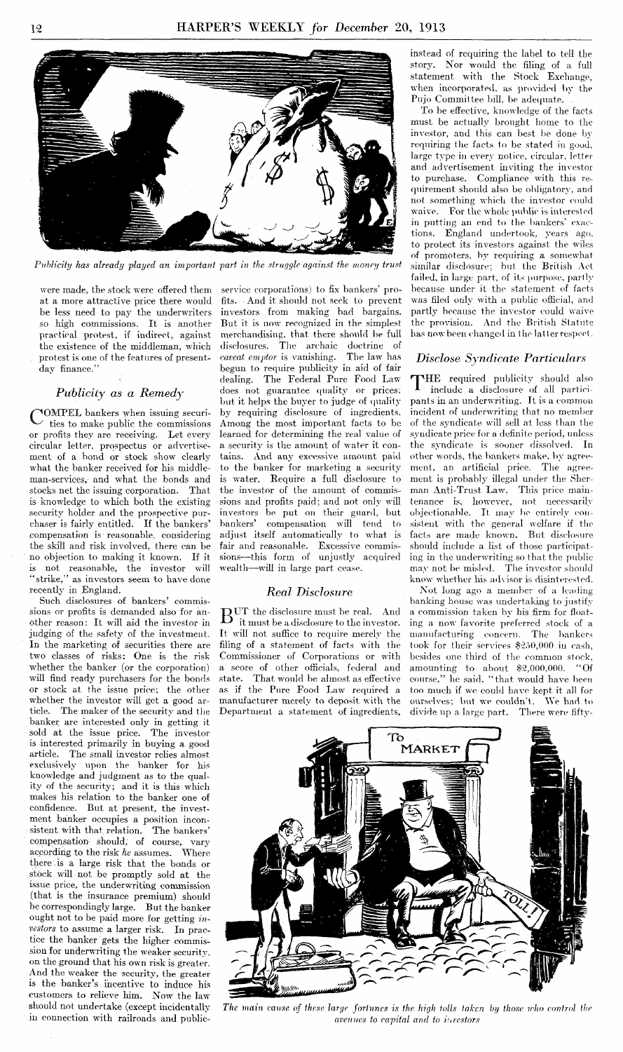

*Publicity has already played an important part in the struggle against the money trust* 

were made, the stock were offered them at a more attractive price there would be less need to pay the underwriters so high commissions. It is another practical protest, if indirect, against the existence of the middleman, which protest is one of the features of presentday finance."

## *Publicily as a Remedy*

G OMPEL bankers when issuing securi-ties to make public the commissions or profits thev are receiving. Let every circular letter, prospectus or advertisemerit of a hond or stock show clearly what the banker received for his middleman-services, and what the bonds and stocks net the issuing corporation. That is knowledge to which both the existing security holder and the prospective purchaser is fairly entitled. If the bankers' compensation is reasonahle, considering the skill and risk involved, there can be no ohjection to making it lmomn. If it is not reasonahle, the investor will "strike," as investors seem to have done recently in England.

Such disclosures of bankers' commissions or profits is demanded also for another reason: It will aid the investor in judging of the safety of the investment. In the marketing of securities there are two classes of risks: One is the risk whether the banker (or the corporation) will find ready purchasers for the bonds or stock at the issne price: the other whether the investor will get a good article. The maker of the security and the banker are interested only in getting it sold at the issue price. The investor is interested primarily in buying a good article. The small investor relies almost exclusively upon the banker for his knowledge and judgment as to the quality of the security; and it is this which makes his relation to the banker one of confidence. But at present, the investment banker occupies a position inconsistent with that relation. The bankers' compensation should, of course, vary according to the risk *he* assumes. Where there is a large risk that the bonds or stock will not bc promptly sold at the issue price. the underwriting commission (that is the insurance premium) should be correspondingly large. But the banker ought not to be paid more for getting investors to assume a larger risk. In practice the banker gets the higher commission for underwriting the weaker security. on the ground that his own risk is greater. And the weaker the security, the greater is the banker's incentive to induce his customers to relieve him. Now the law

service corporations) to fix bankers' profits. And it should not seek to prevent investors from making bad bargains. But it is now recognized in the simplest merchandising, that there should be full disclosures. The archaic doctrine of *caveat emptor* is vanishing. The law has begun to require publicity in aid of fair dealing. The Federal Pure Food Law does not guarantee quality or prices; but it helps the buyer to judge of quality by requiring disclosure of ingredients. Among the most important facts to bc learned for determining the real value of a security is the amount of water it contains. And any excessive amount paid to the banker for marketing a security is water. Require a full disclosure to the investor of the amount of commissions and profits paid; and not only will investors be put on their guard, but bankers' compensation will tend to adjust itself automatically to what is fair and reasonable. Excessive commissions-this form of unjustly acquired wealth--will in large part cease.

#### Real Disclosure

 $\mathrm{B^{UT}}$  the disclosure must be real. And it must be a disclosure to the investor. It will not suffice to require merely the filing of a statement of facts with the Commissioner of Corporations or with a score of other officials, federal and state. That would be almost as effective as if the Pure Food Law required a manufacturer merely to deposit with the Department a statement of ingredients, instead of requiring the label to tell the story. Nor would the filing of a full statement with the Stock Exchange, when incorporated, as provided by the Pujo Committee bill, be adequate.

To be effective, knowledge of the facts must be actually brought home to the investor, and this can best be done by requiring the facts to be stated in good, large type in every notice, circular, letter and advertisement inviting the investor to purchase. Compliance with this requirement should also be obligatory, and not something which the investor could waive. For the whole public is interested in putting an end to the bankers' exactions. England undertook, years ago, to protect its investors against the wiles of promoters, by requiring a somewhat similar disclosure; but the British Act failed, in large part, of its purpose, partly because under it the statement of facts was filed only with a public official, and partly because the investor could waive the provision. And the British Statute has now been changed in the latter respect.

#### *Disclose Syndicate Particulars*

THE required publicity should also include a disclosure of all participants in an underwriting. It is a common incident of underwriting that no member of the syndicate will sell at less than the syndicate price for a definite period, unless the syndicate is sooner dissolved. In other words, the bankers make, by agreement, an artificial price. The agreement is probably illegal under the Sherman Anti-Trust Law. This price maintenance is, however, not necessarily objectionable. It may be entirely consistent with the general welfare if the facts are made known. But disclosure should include a list of those participating in the underwriting so that the public may not be misled. The investor should know whether his advisor is disinterested.

Not long ago a member of a leading banking house was undertaking to justify a commission taken by his firm for floating a now favorite preferred stock of a manufacturing concern. The bankers took for their services \$250,000 in eash, besides one third of the common stock, amounting to about  $$2,000,000$ . "Of course," he said, "that would have been too much if we could have kept it all for<br>ourselves; but we couldn't. We had to ourselves; but we couldn't. divide up a large part. There were fifty-



should not undertake (except incidentally The main cause of these large fortunes is the high tolls taken by those who control the in connection with railroads and public- *avenues to capital and to investors*